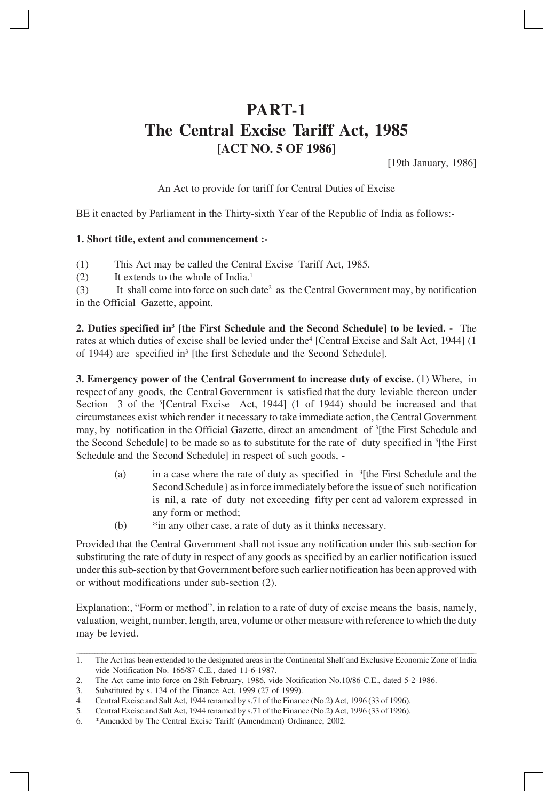# **PART-1 The Central Excise Tariff Act, 1985 [ACT NO. 5 OF 1986]**

[19th January, 1986]

An Act to provide for tariff for Central Duties of Excise

BE it enacted by Parliament in the Thirty-sixth Year of the Republic of India as follows:-

#### **1. Short title, extent and commencement :-**

(1) This Act may be called the Central Excise Tariff Act, 1985.

 $(2)$  It extends to the whole of India.<sup>1</sup>

(3) It shall come into force on such date2 as the Central Government may, by notification in the Official Gazette, appoint.

**2.** Duties specified in<sup>3</sup> [the First Schedule and the Second Schedule] to be levied. - The rates at which duties of excise shall be levied under the<sup>4</sup> [Central Excise and Salt Act, 1944] (1 of 1944) are specified in<sup>3</sup> [the first Schedule and the Second Schedule].

**3. Emergency power of the Central Government to increase duty of excise.** (1) Where, in respect of any goods, the Central Government is satisfied that the duty leviable thereon under Section 3 of the <sup>5</sup>[Central Excise Act, 1944] (1 of 1944) should be increased and that circumstances exist which render it necessary to take immediate action, the Central Government may, by notification in the Official Gazette, direct an amendment of <sup>3</sup>[the First Schedule and the Second Schedule] to be made so as to substitute for the rate of duty specified in <sup>3</sup>[the First] Schedule and the Second Schedule] in respect of such goods, -

- (a) in a case where the rate of duty as specified in  $\frac{3}{1}$  [the First Schedule and the Second Schedule} as in force immediately before the issue of such notification is nil, a rate of duty not exceeding fifty per cent ad valorem expressed in any form or method;
- (b) \*in any other case, a rate of duty as it thinks necessary.

Provided that the Central Government shall not issue any notification under this sub-section for substituting the rate of duty in respect of any goods as specified by an earlier notification issued under this sub-section by that Government before such earlier notification has been approved with or without modifications under sub-section (2).

Explanation:, "Form or method", in relation to a rate of duty of excise means the basis, namely, valuation, weight, number, length, area, volume or other measure with reference to which the duty may be levied.

\_\_\_\_\_\_\_\_\_\_\_\_\_\_\_\_\_\_\_\_\_\_\_\_\_\_\_\_\_\_\_\_\_\_\_\_\_\_\_\_\_\_\_\_\_\_\_\_\_\_\_\_\_\_\_\_\_\_\_\_\_\_\_\_\_\_\_\_\_\_\_\_\_\_\_\_\_\_\_\_\_\_\_\_\_\_\_\_\_\_\_\_\_\_\_\_\_\_\_\_\_\_\_\_\_\_\_\_\_\_\_\_\_\_\_\_\_\_\_\_\_\_\_\_\_\_\_\_\_\_\_\_\_\_\_\_\_\_\_\_\_\_\_\_\_\_\_\_\_\_\_ 1. The Act has been extended to the designated areas in the Continental Shelf and Exclusive Economic Zone of India vide Notification No. 166/87-C.E., dated 11-6-1987.

<sup>2.</sup> The Act came into force on 28th February, 1986, vide Notification No.10/86-C.E., dated 5-2-1986.

<sup>3.</sup> Substituted by s. 134 of the Finance Act, 1999 (27 of 1999).

<sup>4.</sup> Central Excise and Salt Act, 1944 renamed by s.71 of the Finance (No.2) Act, 1996 (33 of 1996).

<sup>5.</sup> Central Excise and Salt Act, 1944 renamed by s.71 of the Finance (No.2) Act, 1996 (33 of 1996).

<sup>6. \*</sup>Amended by The Central Excise Tariff (Amendment) Ordinance, 2002.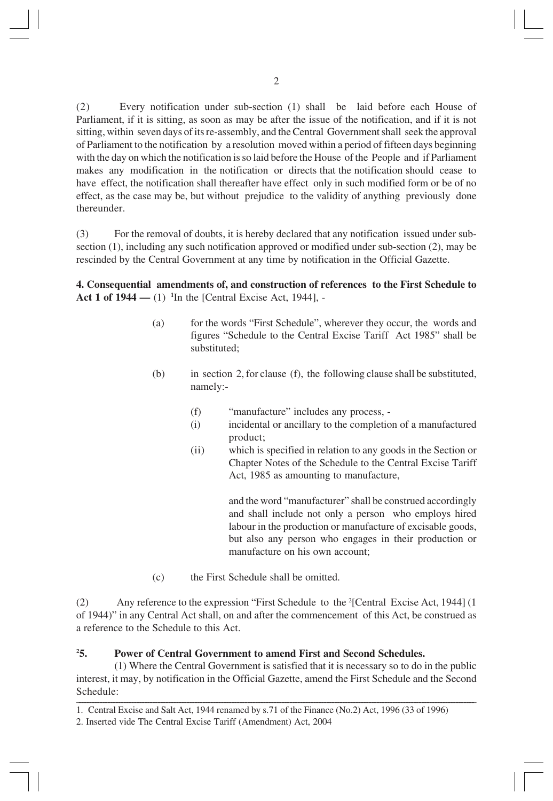(2) Every notification under sub-section (1) shall be laid before each House of Parliament, if it is sitting, as soon as may be after the issue of the notification, and if it is not sitting, within seven days of its re-assembly, and the Central Government shall seek the approval of Parliament to the notification by a resolution moved within a period of fifteen days beginning with the day on which the notification is so laid before the House of the People and if Parliament makes any modification in the notification or directs that the notification should cease to have effect, the notification shall thereafter have effect only in such modified form or be of no effect, as the case may be, but without prejudice to the validity of anything previously done thereunder.

(3) For the removal of doubts, it is hereby declared that any notification issued under subsection (1), including any such notification approved or modified under sub-section (2), may be rescinded by the Central Government at any time by notification in the Official Gazette.

**4. Consequential amendments of, and construction of references to the First Schedule to Act 1 of 1944 —** (1)**<sup>1</sup>**In the [Central Excise Act, 1944], -

- (a) for the words "First Schedule", wherever they occur, the words and figures "Schedule to the Central Excise Tariff Act 1985" shall be substituted;
- (b) in section 2, for clause (f), the following clause shall be substituted, namely:-
	- (f) "manufacture" includes any process, -
	- (i) incidental or ancillary to the completion of a manufactured product;
	- (ii) which is specified in relation to any goods in the Section or Chapter Notes of the Schedule to the Central Excise Tariff Act, 1985 as amounting to manufacture,

and the word "manufacturer" shall be construed accordingly and shall include not only a person who employs hired labour in the production or manufacture of excisable goods, but also any person who engages in their production or manufacture on his own account;

(c) the First Schedule shall be omitted.

(2) Any reference to the expression "First Schedule to the 2 [Central Excise Act, 1944] (1 of 1944)" in any Central Act shall, on and after the commencement of this Act, be construed as a reference to the Schedule to this Act.

#### $^{2}5.$ **5. Power of Central Government to amend First and Second Schedules.**

\_\_\_\_\_\_\_\_\_\_\_\_\_\_\_\_\_\_\_\_\_\_\_\_\_\_\_\_\_\_\_\_\_\_\_\_\_\_\_\_\_\_\_\_\_\_\_\_\_\_\_\_\_\_\_\_\_\_\_\_\_\_\_\_\_\_\_\_\_\_\_\_\_\_\_\_\_\_\_\_\_\_\_\_\_\_\_\_\_\_\_\_\_\_\_\_\_\_\_\_\_\_\_\_\_\_\_\_\_\_\_\_\_\_\_\_\_\_\_\_\_\_\_\_\_\_\_\_\_\_\_\_\_\_\_\_\_\_\_\_\_\_\_\_\_\_\_\_\_\_\_ (1) Where the Central Government is satisfied that it is necessary so to do in the public interest, it may, by notification in the Official Gazette, amend the First Schedule and the Second Schedule:

<sup>1.</sup> Central Excise and Salt Act, 1944 renamed by s.71 of the Finance (No.2) Act, 1996 (33 of 1996)

<sup>2.</sup> Inserted vide The Central Excise Tariff (Amendment) Act, 2004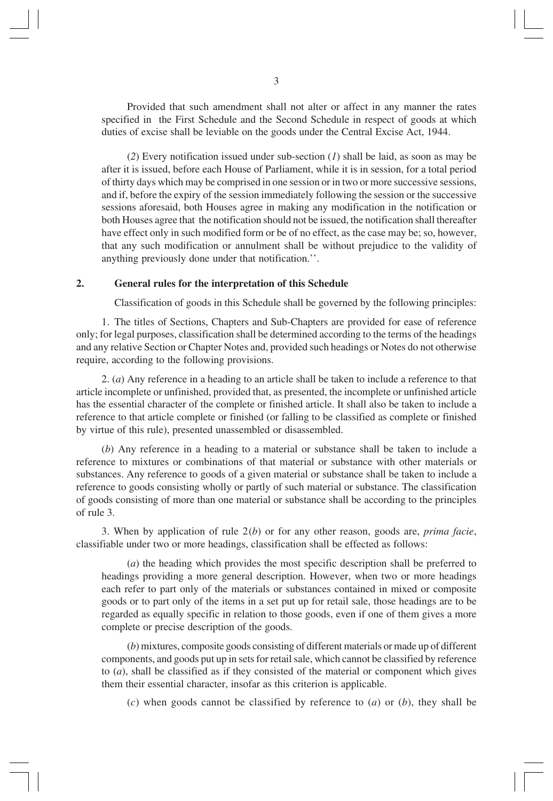Provided that such amendment shall not alter or affect in any manner the rates specified in the First Schedule and the Second Schedule in respect of goods at which duties of excise shall be leviable on the goods under the Central Excise Act, 1944.

(*2*) Every notification issued under sub-section (*1*) shall be laid, as soon as may be after it is issued, before each House of Parliament, while it is in session, for a total period of thirty days which may be comprised in one session or in two or more successive sessions, and if, before the expiry of the session immediately following the session or the successive sessions aforesaid, both Houses agree in making any modification in the notification or both Houses agree that the notification should not be issued, the notification shall thereafter have effect only in such modified form or be of no effect, as the case may be; so, however, that any such modification or annulment shall be without prejudice to the validity of anything previously done under that notification.''.

#### **2. General rules for the interpretation of this Schedule**

Classification of goods in this Schedule shall be governed by the following principles:

1. The titles of Sections, Chapters and Sub-Chapters are provided for ease of reference only; for legal purposes, classification shall be determined according to the terms of the headings and any relative Section or Chapter Notes and, provided such headings or Notes do not otherwise require, according to the following provisions.

2. (*a*) Any reference in a heading to an article shall be taken to include a reference to that article incomplete or unfinished, provided that, as presented, the incomplete or unfinished article has the essential character of the complete or finished article. It shall also be taken to include a reference to that article complete or finished (or falling to be classified as complete or finished by virtue of this rule), presented unassembled or disassembled.

(*b*) Any reference in a heading to a material or substance shall be taken to include a reference to mixtures or combinations of that material or substance with other materials or substances. Any reference to goods of a given material or substance shall be taken to include a reference to goods consisting wholly or partly of such material or substance. The classification of goods consisting of more than one material or substance shall be according to the principles of rule 3.

3. When by application of rule 2(*b*) or for any other reason, goods are, *prima facie*, classifiable under two or more headings, classification shall be effected as follows:

(*a*) the heading which provides the most specific description shall be preferred to headings providing a more general description. However, when two or more headings each refer to part only of the materials or substances contained in mixed or composite goods or to part only of the items in a set put up for retail sale, those headings are to be regarded as equally specific in relation to those goods, even if one of them gives a more complete or precise description of the goods.

(*b*) mixtures, composite goods consisting of different materials or made up of different components, and goods put up in sets for retail sale, which cannot be classified by reference to (*a*), shall be classified as if they consisted of the material or component which gives them their essential character, insofar as this criterion is applicable.

(*c*) when goods cannot be classified by reference to (*a*) or (*b*), they shall be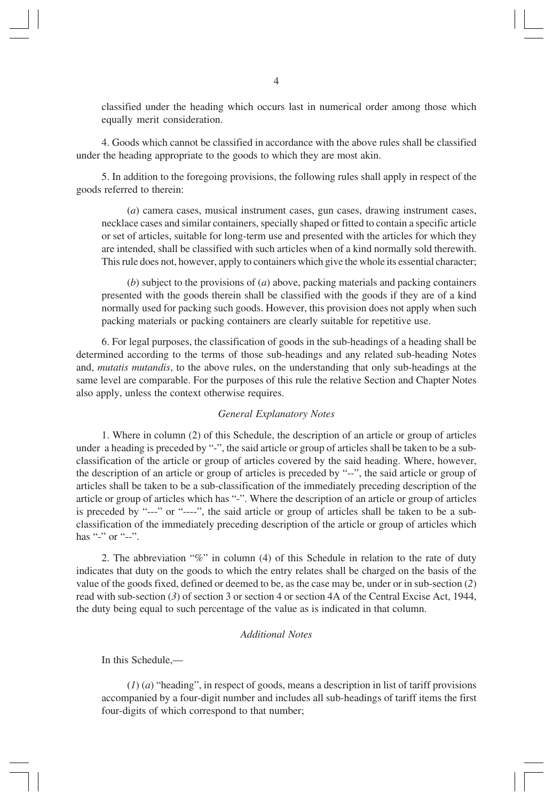classified under the heading which occurs last in numerical order among those which equally merit consideration.

4. Goods which cannot be classified in accordance with the above rules shall be classified under the heading appropriate to the goods to which they are most akin.

5. In addition to the foregoing provisions, the following rules shall apply in respect of the goods referred to therein:

(*a*) camera cases, musical instrument cases, gun cases, drawing instrument cases, necklace cases and similar containers, specially shaped or fitted to contain a specific article or set of articles, suitable for long-term use and presented with the articles for which they are intended, shall be classified with such articles when of a kind normally sold therewith. This rule does not, however, apply to containers which give the whole its essential character;

(*b*) subject to the provisions of (*a*) above, packing materials and packing containers presented with the goods therein shall be classified with the goods if they are of a kind normally used for packing such goods. However, this provision does not apply when such packing materials or packing containers are clearly suitable for repetitive use.

6. For legal purposes, the classification of goods in the sub-headings of a heading shall be determined according to the terms of those sub-headings and any related sub-heading Notes and, *mutatis mutandis*, to the above rules, on the understanding that only sub-headings at the same level are comparable. For the purposes of this rule the relative Section and Chapter Notes also apply, unless the context otherwise requires.

#### *General Explanatory Notes*

1. Where in column (2) of this Schedule, the description of an article or group of articles under a heading is preceded by "-", the said article or group of articles shall be taken to be a subclassification of the article or group of articles covered by the said heading. Where, however, the description of an article or group of articles is preceded by "--", the said article or group of articles shall be taken to be a sub-classification of the immediately preceding description of the article or group of articles which has "-". Where the description of an article or group of articles is preceded by "---" or "----", the said article or group of articles shall be taken to be a subclassification of the immediately preceding description of the article or group of articles which has "-" or "--".

2. The abbreviation "%" in column (4) of this Schedule in relation to the rate of duty indicates that duty on the goods to which the entry relates shall be charged on the basis of the value of the goods fixed, defined or deemed to be, as the case may be, under or in sub-section (*2*) read with sub-section (*3*) of section 3 or section 4 or section 4A of the Central Excise Act, 1944, the duty being equal to such percentage of the value as is indicated in that column.

#### *Additional Notes*

In this Schedule,—

(*1*) (*a*) "heading", in respect of goods, means a description in list of tariff provisions accompanied by a four-digit number and includes all sub-headings of tariff items the first four-digits of which correspond to that number;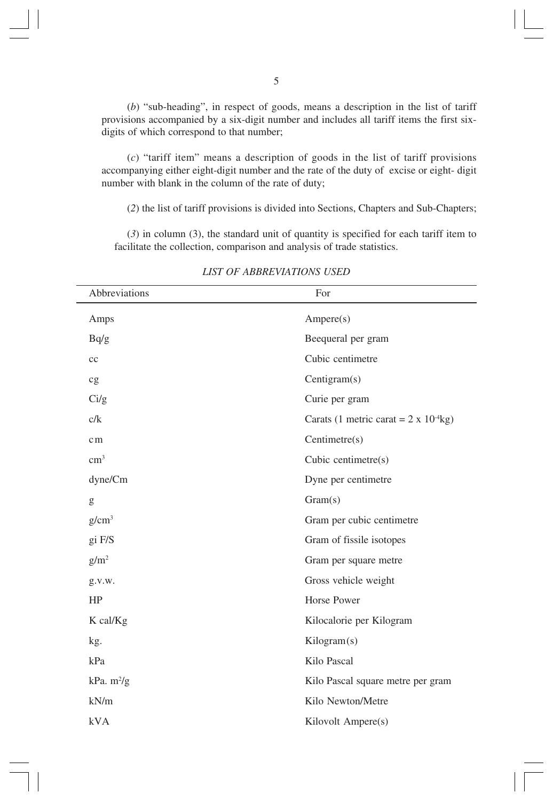(*b*) "sub-heading", in respect of goods, means a description in the list of tariff provisions accompanied by a six-digit number and includes all tariff items the first sixdigits of which correspond to that number;

(*c*) "tariff item" means a description of goods in the list of tariff provisions accompanying either eight-digit number and the rate of the duty of excise or eight- digit number with blank in the column of the rate of duty;

(*2*) the list of tariff provisions is divided into Sections, Chapters and Sub-Chapters;

(*3*) in column (3), the standard unit of quantity is specified for each tariff item to facilitate the collection, comparison and analysis of trade statistics.

| Abbreviations          | For                                             |
|------------------------|-------------------------------------------------|
| Amps                   | Ampere(s)                                       |
| Bq/g                   | Beequeral per gram                              |
| cc                     | Cubic centimetre                                |
| cg                     | Centigram(s)                                    |
| $\frac{Ci}{g}$         | Curie per gram                                  |
| c/k                    | Carats (1 metric carat = $2 \times 10^{-4}$ kg) |
| cm                     | Centimetre(s)                                   |
| $\text{cm}^3$          | Cubic centimetre(s)                             |
| dyne/Cm                | Dyne per centimetre                             |
| g                      | Gram(s)                                         |
| $g/cm^3$               | Gram per cubic centimetre                       |
| gi F/S                 | Gram of fissile isotopes                        |
| g/m <sup>2</sup>       | Gram per square metre                           |
| g.v.w.                 | Gross vehicle weight                            |
| HP                     | Horse Power                                     |
| K cal/Kg               | Kilocalorie per Kilogram                        |
| kg.                    | Kilogram(s)                                     |
| kPa                    | Kilo Pascal                                     |
| kPa. m <sup>2</sup> /g | Kilo Pascal square metre per gram               |
| kN/m                   | Kilo Newton/Metre                               |
| <b>kVA</b>             | Kilovolt Ampere(s)                              |

*LIST OF ABBREVIATIONS USED*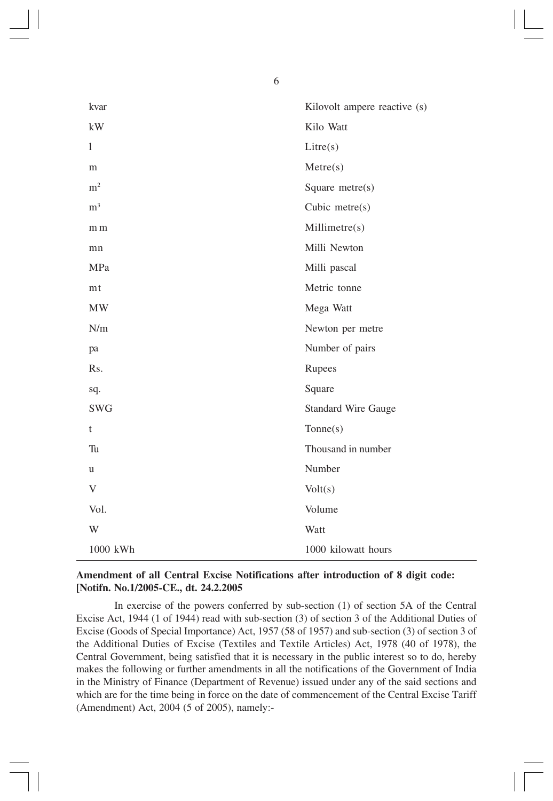| kvar           | Kilovolt ampere reactive (s) |
|----------------|------------------------------|
| kW             | Kilo Watt                    |
| 1              | $\textrm{Litre}(s)$          |
| m              | Metre(s)                     |
| m <sup>2</sup> | Square metre(s)              |
| m <sup>3</sup> | Cubic metre $(s)$            |
| m <sub>m</sub> | Millimetre(s)                |
| mn             | Milli Newton                 |
| MPa            | Milli pascal                 |
| mt             | Metric tonne                 |
| MW             | Mega Watt                    |
| N/m            | Newton per metre             |
| pa             | Number of pairs              |
| Rs.            | Rupees                       |
| sq.            | Square                       |
| <b>SWG</b>     | <b>Standard Wire Gauge</b>   |
| $\mathsf{t}$   | Tonne(s)                     |
| Tu             | Thousand in number           |
| u              | Number                       |
| V              | Volt(s)                      |
| Vol.           | Volume                       |
| W              | Watt                         |
| 1000 kWh       | 1000 kilowatt hours          |

# **Amendment of all Central Excise Notifications after introduction of 8 digit code: [Notifn. No.1/2005-CE., dt. 24.2.2005**

In exercise of the powers conferred by sub-section (1) of section 5A of the Central Excise Act, 1944 (1 of 1944) read with sub-section (3) of section 3 of the Additional Duties of Excise (Goods of Special Importance) Act, 1957 (58 of 1957) and sub-section (3) of section 3 of the Additional Duties of Excise (Textiles and Textile Articles) Act, 1978 (40 of 1978), the Central Government, being satisfied that it is necessary in the public interest so to do, hereby makes the following or further amendments in all the notifications of the Government of India in the Ministry of Finance (Department of Revenue) issued under any of the said sections and which are for the time being in force on the date of commencement of the Central Excise Tariff (Amendment) Act, 2004 (5 of 2005), namely:-

6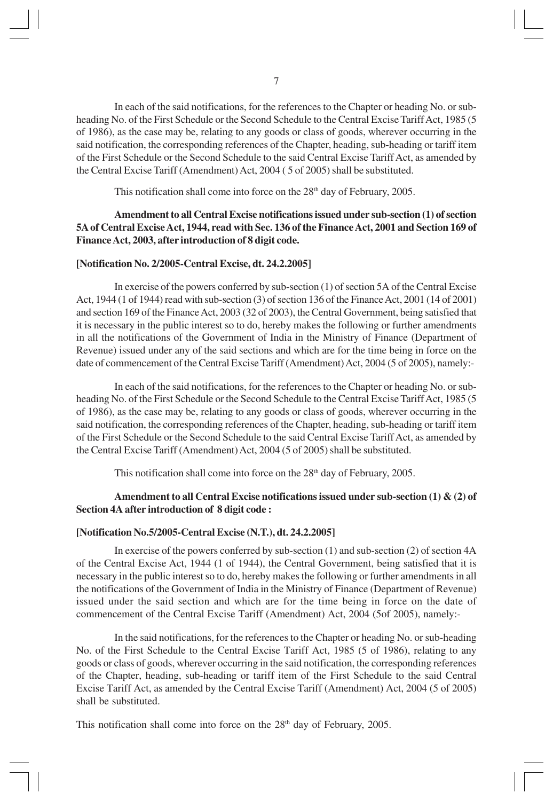In each of the said notifications, for the references to the Chapter or heading No. or subheading No. of the First Schedule or the Second Schedule to the Central Excise Tariff Act, 1985 (5 of 1986), as the case may be, relating to any goods or class of goods, wherever occurring in the said notification, the corresponding references of the Chapter, heading, sub-heading or tariff item of the First Schedule or the Second Schedule to the said Central Excise Tariff Act, as amended by the Central Excise Tariff (Amendment) Act, 2004 ( 5 of 2005) shall be substituted.

This notification shall come into force on the  $28<sup>th</sup>$  day of February, 2005.

# **Amendment to all Central Excise notifications issued under sub-section (1) of section 5A of Central Excise Act, 1944, read with Sec. 136 of the Finance Act, 2001 and Section 169 of Finance Act, 2003, after introduction of 8 digit code.**

#### **[Notification No. 2/2005-Central Excise, dt. 24.2.2005]**

In exercise of the powers conferred by sub-section (1) of section 5A of the Central Excise Act, 1944 (1 of 1944) read with sub-section (3) of section 136 of the Finance Act, 2001 (14 of 2001) and section 169 of the Finance Act, 2003 (32 of 2003), the Central Government, being satisfied that it is necessary in the public interest so to do, hereby makes the following or further amendments in all the notifications of the Government of India in the Ministry of Finance (Department of Revenue) issued under any of the said sections and which are for the time being in force on the date of commencement of the Central Excise Tariff (Amendment) Act, 2004 (5 of 2005), namely:-

In each of the said notifications, for the references to the Chapter or heading No. or subheading No. of the First Schedule or the Second Schedule to the Central Excise Tariff Act, 1985 (5 of 1986), as the case may be, relating to any goods or class of goods, wherever occurring in the said notification, the corresponding references of the Chapter, heading, sub-heading or tariff item of the First Schedule or the Second Schedule to the said Central Excise Tariff Act, as amended by the Central Excise Tariff (Amendment) Act, 2004 (5 of 2005) shall be substituted.

This notification shall come into force on the 28<sup>th</sup> day of February, 2005.

# **Amendment to all Central Excise notifications issued under sub-section (1) & (2) of Section 4A after introduction of 8 digit code :**

#### **[Notification No.5/2005-Central Excise (N.T.), dt. 24.2.2005]**

In exercise of the powers conferred by sub-section (1) and sub-section (2) of section 4A of the Central Excise Act, 1944 (1 of 1944), the Central Government, being satisfied that it is necessary in the public interest so to do, hereby makes the following or further amendments in all the notifications of the Government of India in the Ministry of Finance (Department of Revenue) issued under the said section and which are for the time being in force on the date of commencement of the Central Excise Tariff (Amendment) Act, 2004 (5of 2005), namely:-

In the said notifications, for the references to the Chapter or heading No. or sub-heading No. of the First Schedule to the Central Excise Tariff Act, 1985 (5 of 1986), relating to any goods or class of goods, wherever occurring in the said notification, the corresponding references of the Chapter, heading, sub-heading or tariff item of the First Schedule to the said Central Excise Tariff Act, as amended by the Central Excise Tariff (Amendment) Act, 2004 (5 of 2005) shall be substituted.

This notification shall come into force on the  $28<sup>th</sup>$  day of February, 2005.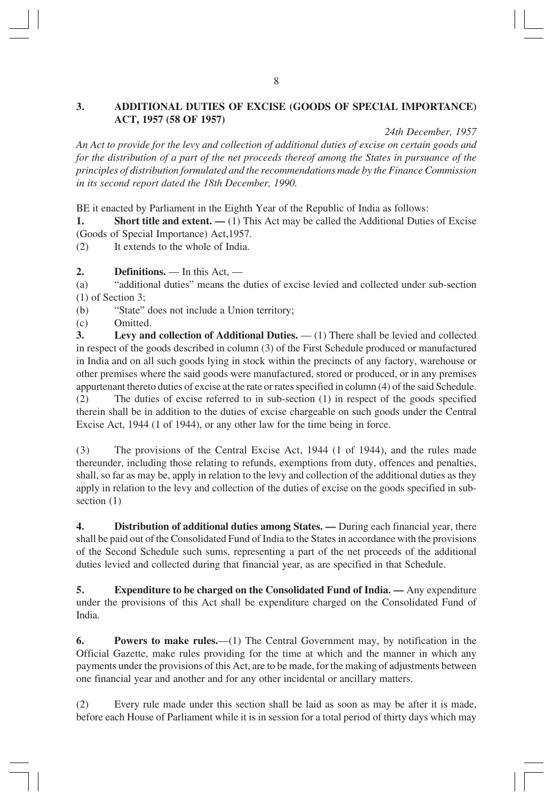# **3. ADDITIONAL DUTIES OF EXCISE (GOODS OF SPECIAL IMPORTANCE) ACT, 1957 (58 OF 1957)**

### *24th December, 1957*

*An Act to provide for the levy and collection of additional duties of excise on certain goods and for the distribution of a part of the net proceeds thereof among the States in pursuance of the principles of distribution formulated and the recommendations made by the Finance Commission in its second report dated the 18th December, 1990.*

BE it enacted by Parliament in the Eighth Year of the Republic of India as follows:

**1.** Short title and extent. — (1) This Act may be called the Additional Duties of Excise (Goods of Special Importance) Act,1957.

(2) It extends to the whole of India.

# **2. Definitions.** — In this Act, —

(a) "additional duties" means the duties of excise levied and collected under sub-section (1) of Section 3;

(b) "State" does not include a Union territory;

(c) Omitted.

**3.** Levy and collection of Additional Duties. — (1) There shall be levied and collected in respect of the goods described in column (3) of the First Schedule produced or manufactured in India and on all such goods lying in stock within the precincts of any factory, warehouse or other premises where the said goods were manufactured, stored or produced, or in any premises appurtenant thereto duties of excise at the rate or rates specified in column (4) of the said Schedule. (2) The duties of excise referred to in sub-section (1) in respect of the goods specified therein shall be in addition to the duties of excise chargeable on such goods under the Central Excise Act, 1944 (1 of 1944), or any other law for the time being in force.

(3) The provisions of the Central Excise Act, 1944 (1 of 1944), and the rules made thereunder, including those relating to refunds, exemptions from duty, offences and penalties, shall, so far as may be, apply in relation to the levy and collection of the additional duties as they apply in relation to the levy and collection of the duties of excise on the goods specified in subsection (1)

**4. Distribution of additional duties among States. —** During each financial year, there shall be paid out of the Consolidated Fund of India to the States in accordance with the provisions of the Second Schedule such sums, representing a part of the net proceeds of the additional duties levied and collected during that financial year, as are specified in that Schedule.

**5. Expenditure to be charged on the Consolidated Fund of India. —** Any expenditure under the provisions of this Act shall be expenditure charged on the Consolidated Fund of India.

**6. Powers to make rules.**—(1) The Central Government may, by notification in the Official Gazette, make rules providing for the time at which and the manner in which any payments under the provisions of this Act, are to be made, for the making of adjustments between one financial year and another and for any other incidental or ancillary matters.

(2) Every rule made under this section shall be laid as soon as may be after it is made, before each House of Parliament while it is in session for a total period of thirty days which may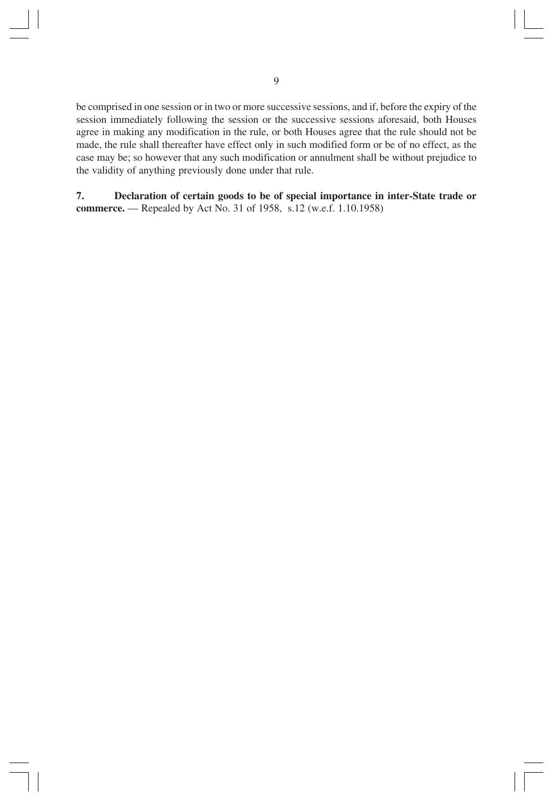be comprised in one session or in two or more successive sessions, and if, before the expiry of the session immediately following the session or the successive sessions aforesaid, both Houses agree in making any modification in the rule, or both Houses agree that the rule should not be made, the rule shall thereafter have effect only in such modified form or be of no effect, as the case may be; so however that any such modification or annulment shall be without prejudice to the validity of anything previously done under that rule.

**7. Declaration of certain goods to be of special importance in inter-State trade or commerce.** — Repealed by Act No. 31 of 1958, s.12 (w.e.f. 1.10.1958)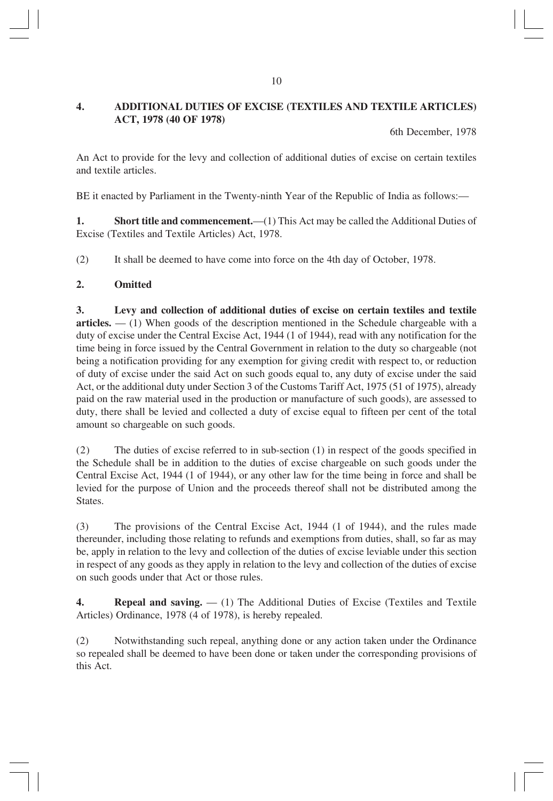# **4. ADDITIONAL DUTIES OF EXCISE (TEXTILES AND TEXTILE ARTICLES) ACT, 1978 (40 OF 1978)**

6th December, 1978

An Act to provide for the levy and collection of additional duties of excise on certain textiles and textile articles.

BE it enacted by Parliament in the Twenty-ninth Year of the Republic of India as follows:—

**1.** Short title and commencement.—(1) This Act may be called the Additional Duties of Excise (Textiles and Textile Articles) Act, 1978.

(2) It shall be deemed to have come into force on the 4th day of October, 1978.

# **2. Omitted**

**3. Levy and collection of additional duties of excise on certain textiles and textile articles.** — (1) When goods of the description mentioned in the Schedule chargeable with a duty of excise under the Central Excise Act, 1944 (1 of 1944), read with any notification for the time being in force issued by the Central Government in relation to the duty so chargeable (not being a notification providing for any exemption for giving credit with respect to, or reduction of duty of excise under the said Act on such goods equal to, any duty of excise under the said Act, or the additional duty under Section 3 of the Customs Tariff Act, 1975 (51 of 1975), already paid on the raw material used in the production or manufacture of such goods), are assessed to duty, there shall be levied and collected a duty of excise equal to fifteen per cent of the total amount so chargeable on such goods.

(2) The duties of excise referred to in sub-section (1) in respect of the goods specified in the Schedule shall be in addition to the duties of excise chargeable on such goods under the Central Excise Act, 1944 (1 of 1944), or any other law for the time being in force and shall be levied for the purpose of Union and the proceeds thereof shall not be distributed among the States.

(3) The provisions of the Central Excise Act, 1944 (1 of 1944), and the rules made thereunder, including those relating to refunds and exemptions from duties, shall, so far as may be, apply in relation to the levy and collection of the duties of excise leviable under this section in respect of any goods as they apply in relation to the levy and collection of the duties of excise on such goods under that Act or those rules.

**4. Repeal and saving.** — (1) The Additional Duties of Excise (Textiles and Textile Articles) Ordinance, 1978 (4 of 1978), is hereby repealed.

(2) Notwithstanding such repeal, anything done or any action taken under the Ordinance so repealed shall be deemed to have been done or taken under the corresponding provisions of this Act.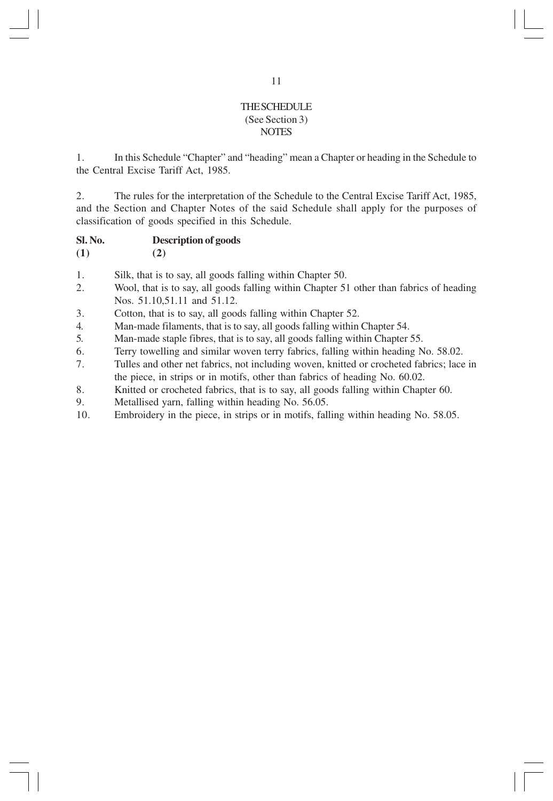# THE SCHEDULE (See Section 3) **NOTES**

1. In this Schedule "Chapter" and "heading" mean a Chapter or heading in the Schedule to the Central Excise Tariff Act, 1985.

2. The rules for the interpretation of the Schedule to the Central Excise Tariff Act, 1985, and the Section and Chapter Notes of the said Schedule shall apply for the purposes of classification of goods specified in this Schedule.

| Sl. No. | <b>Description of goods</b> |
|---------|-----------------------------|
|         |                             |

**(1) (2)**

1. Silk, that is to say, all goods falling within Chapter 50.

- 2. Wool, that is to say, all goods falling within Chapter 51 other than fabrics of heading Nos. 51.10,51.11 and 51.12.
- 3. Cotton, that is to say, all goods falling within Chapter 52.
- 4. Man-made filaments, that is to say, all goods falling within Chapter 54.
- 5. Man-made staple fibres, that is to say, all goods falling within Chapter 55.
- 6. Terry towelling and similar woven terry fabrics, falling within heading No. 58.02.
- 7. Tulles and other net fabrics, not including woven, knitted or crocheted fabrics; lace in the piece, in strips or in motifs, other than fabrics of heading No. 60.02.
- 8. Knitted or crocheted fabrics, that is to say, all goods falling within Chapter 60.
- 9. Metallised yarn, falling within heading No. 56.05.
- 10. Embroidery in the piece, in strips or in motifs, falling within heading No. 58.05.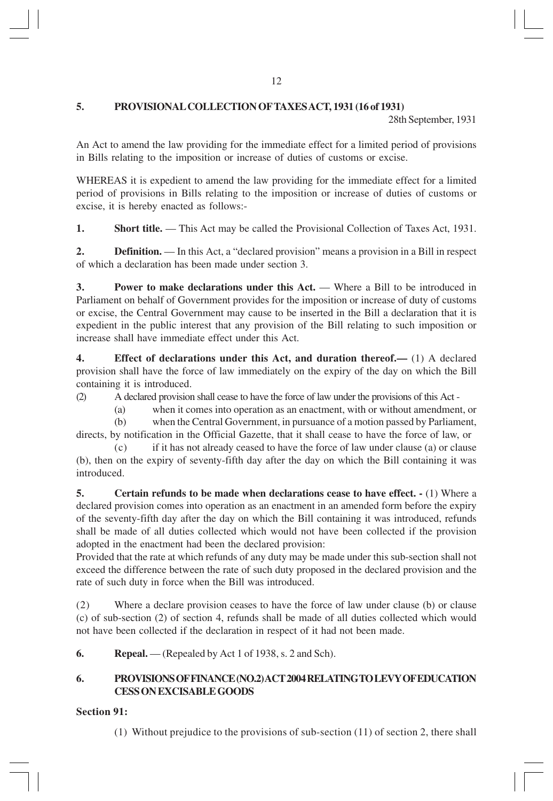# **5. PROVISIONAL COLLECTION OF TAXES ACT, 1931 (16 of 1931)**

28th September, 1931

An Act to amend the law providing for the immediate effect for a limited period of provisions in Bills relating to the imposition or increase of duties of customs or excise.

WHEREAS it is expedient to amend the law providing for the immediate effect for a limited period of provisions in Bills relating to the imposition or increase of duties of customs or excise, it is hereby enacted as follows:-

**1.** Short title. — This Act may be called the Provisional Collection of Taxes Act, 1931.

**2. Definition.** — In this Act, a "declared provision" means a provision in a Bill in respect of which a declaration has been made under section 3.

**3.** Power to make declarations under this Act. — Where a Bill to be introduced in Parliament on behalf of Government provides for the imposition or increase of duty of customs or excise, the Central Government may cause to be inserted in the Bill a declaration that it is expedient in the public interest that any provision of the Bill relating to such imposition or increase shall have immediate effect under this Act.

**4. Effect of declarations under this Act, and duration thereof.—** (1) A declared provision shall have the force of law immediately on the expiry of the day on which the Bill containing it is introduced.

(2) A declared provision shall cease to have the force of law under the provisions of this Act -

(a) when it comes into operation as an enactment, with or without amendment, or

(b) when the Central Government, in pursuance of a motion passed by Parliament, directs, by notification in the Official Gazette, that it shall cease to have the force of law, or (c) if it has not already ceased to have the force of law under clause (a) or clause

(b), then on the expiry of seventy-fifth day after the day on which the Bill containing it was introduced.

**5. Certain refunds to be made when declarations cease to have effect. -** (1) Where a declared provision comes into operation as an enactment in an amended form before the expiry of the seventy-fifth day after the day on which the Bill containing it was introduced, refunds shall be made of all duties collected which would not have been collected if the provision adopted in the enactment had been the declared provision:

Provided that the rate at which refunds of any duty may be made under this sub-section shall not exceed the difference between the rate of such duty proposed in the declared provision and the rate of such duty in force when the Bill was introduced.

(2) Where a declare provision ceases to have the force of law under clause (b) or clause (c) of sub-section (2) of section 4, refunds shall be made of all duties collected which would not have been collected if the declaration in respect of it had not been made.

**6.** Repeal. — (Repealed by Act 1 of 1938, s. 2 and Sch).

# **6. PROVISIONS OF FINANCE (NO.2) ACT 2004 RELATING TO LEVY OF EDUCATION CESS ON EXCISABLE GOODS**

# **Section 91:**

(1) Without prejudice to the provisions of sub-section (11) of section 2, there shall